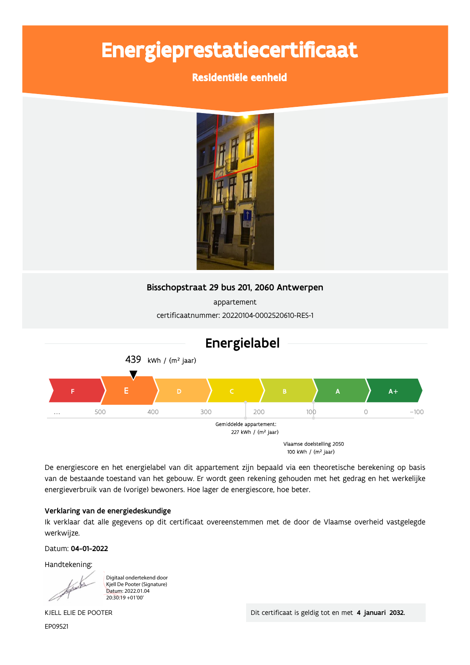# Energieprestatiecertificaat

# Residentiële eenheid



# Bisschopstraat 29 bus 201, 2060 Antwerpen

appartement certificaatnummer: 20220104-0002520610-RES-1



De energiescore en het energielabel van dit appartement zijn bepaald via een theoretische berekening op basis van de bestaande toestand van het gebouw. Er wordt geen rekening gehouden met het gedrag en het werkelijke energieverbruik van de (vorige) bewoners. Hoe lager de energiescore, hoe beter.

### Verklaring van de energiedeskundige

Ik verklaar dat alle gegevens op dit certificaat overeenstemmen met de door de Vlaamse overheid vastgelegde werkwijze.

Datum: 04-01-2022

Handtekening:

Digitaal ondertekend door Kjell De Pooter (Signature) Datum: 2022.01.04 20:30:19 +01'00'

EP09521

./00 0, 1223  
  " ! #

 \$%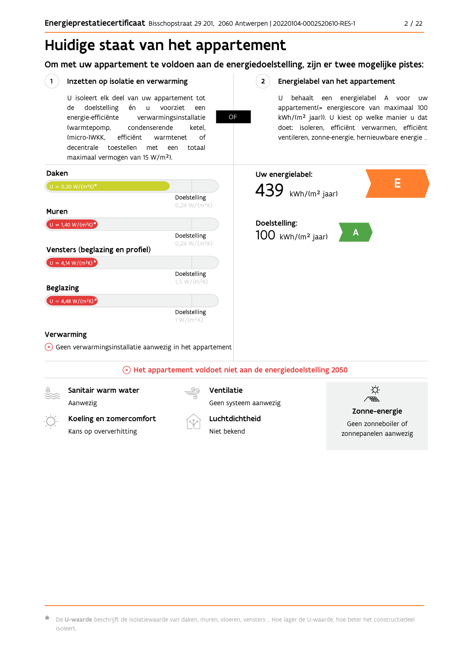# Huidige staat van het appartement

Om met uw appartement te voldoen aan de energiedoelstelling, zijn er twee mogelijke pistes:

**OF** 

 $2^{\circ}$ 

#### $(1)$ Inzetten op isolatie en verwarming

U isoleert elk deel van uw appartement tot doelstelling voorziet de én u een energie-efficiënte verwarmingsinstallatie (warmtepomp, condenserende ketel, (micro-)WKK. efficiënt warmtenet  $\bigcap_{ }$ decentrale toestellen met een totaal maximaal vermogen van 15 W/m<sup>2</sup>).

#### Energielabel van het appartement

U behaalt een energielabel A voor  $\overline{U}$ appartement(= energiescore van maximaal 100 kWh/(m<sup>2</sup> jaar)). U kiest op welke manier u dat doet: isoleren, efficiënt verwarmen, efficiënt ventileren, zonne-energie, hernieuwbare energie ...



 $\star$  De **U-waarde** beschrijft de isolatiewaarde van daken, muren, vloeren, vensters … Hoe lager de U-waarde, hoe beter het constructiedeel isoleert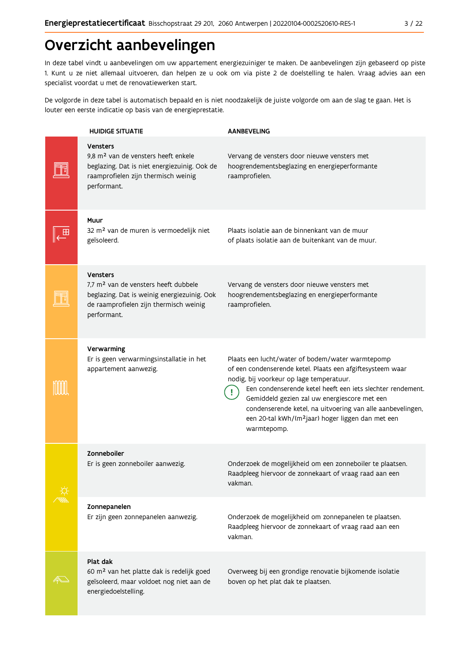# Overzicht aanbevelingen

In deze tabel vindt u aanbevelingen om uw appartement energiezuiniger te maken. De aanbevelingen zijn gebaseerd op piste 1. Kunt u ze niet allemaal uitvoeren, dan helpen ze u ook om via piste 2 de doelstelling te halen. Vraag advies aan een specialist voordat u met de renovatiewerken start.

De volgorde in deze tabel is automatisch bepaald en is niet noodzakelijk de juiste volgorde om aan de slag te gaan. Het is louter een eerste indicatie op basis van de energieprestatie.

| <b>HUIDIGE SITUATIE</b>                                                                                                                                                     | <b>AANBEVELING</b>                                                                                                                                                                                                                                                                                                                                                                                                     |
|-----------------------------------------------------------------------------------------------------------------------------------------------------------------------------|------------------------------------------------------------------------------------------------------------------------------------------------------------------------------------------------------------------------------------------------------------------------------------------------------------------------------------------------------------------------------------------------------------------------|
| <b>Vensters</b><br>9,8 m <sup>2</sup> van de vensters heeft enkele<br>beglazing. Dat is niet energiezuinig. Ook de<br>raamprofielen zijn thermisch weinig<br>performant.    | Vervang de vensters door nieuwe vensters met<br>hoogrendementsbeglazing en energieperformante<br>raamprofielen.                                                                                                                                                                                                                                                                                                        |
| Muur<br>32 m <sup>2</sup> van de muren is vermoedelijk niet<br>geïsoleerd.                                                                                                  | Plaats isolatie aan de binnenkant van de muur<br>of plaats isolatie aan de buitenkant van de muur.                                                                                                                                                                                                                                                                                                                     |
| <b>Vensters</b><br>7,7 m <sup>2</sup> van de vensters heeft dubbele<br>beglazing. Dat is weinig energiezuinig. Ook<br>de raamprofielen zijn thermisch weinig<br>performant. | Vervang de vensters door nieuwe vensters met<br>hoogrendementsbeglazing en energieperformante<br>raamprofielen.                                                                                                                                                                                                                                                                                                        |
| Verwarming<br>Er is geen verwarmingsinstallatie in het<br>appartement aanwezig.                                                                                             | Plaats een lucht/water of bodem/water warmtepomp<br>of een condenserende ketel. Plaats een afgiftesysteem waar<br>nodig, bij voorkeur op lage temperatuur.<br>Een condenserende ketel heeft een iets slechter rendement.<br>Gemiddeld gezien zal uw energiescore met een<br>condenserende ketel, na uitvoering van alle aanbevelingen,<br>een 20-tal kWh/(m <sup>2</sup> jaar) hoger liggen dan met een<br>warmtepomp. |
| Zonneboiler<br>Er is geen zonneboiler aanwezig.                                                                                                                             | Onderzoek de mogelijkheid om een zonneboiler te plaatsen.<br>Raadpleeg hiervoor de zonnekaart of vraag raad aan een<br>vakman.                                                                                                                                                                                                                                                                                         |
| Zonnepanelen<br>Er zijn geen zonnepanelen aanwezig.                                                                                                                         | Onderzoek de mogelijkheid om zonnepanelen te plaatsen.<br>Raadpleeg hiervoor de zonnekaart of vraag raad aan een<br>vakman.                                                                                                                                                                                                                                                                                            |
| Plat dak<br>60 m <sup>2</sup> van het platte dak is redelijk goed<br>geïsoleerd, maar voldoet nog niet aan de<br>energiedoelstelling.                                       | Overweeg bij een grondige renovatie bijkomende isolatie<br>boven op het plat dak te plaatsen.                                                                                                                                                                                                                                                                                                                          |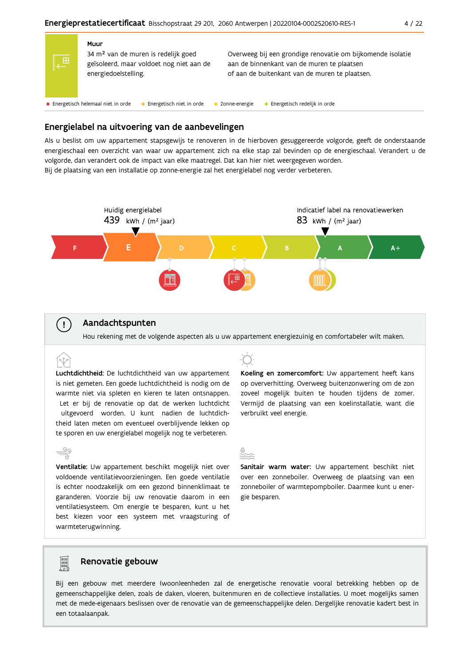

| 信号 | Muur<br>34 m <sup>2</sup> van de muren is redelijk goed<br>geïsoleerd, maar voldoet nog niet aan de<br>energiedoelstelling. | Overweeg bij een grondige renovatie om bijkomende isolatie<br>aan de binnenkant van de muren te plaatsen<br>of aan de buitenkant van de muren te plaatsen. |
|----|-----------------------------------------------------------------------------------------------------------------------------|------------------------------------------------------------------------------------------------------------------------------------------------------------|
|    | • Energetisch helemaal niet in orde<br>Energetisch niet in orde                                                             | Energetisch redelijk in orde<br>Zonne-energie                                                                                                              |

## Energielabel na uitvoering van de aanbevelingen

Als u beslist om uw appartement stapsgewijs te renoveren in de hierboven gesuggereerde volgorde, geeft de onderstaande energieschaal een overzicht van waar uw appartement zich na elke stap zal bevinden op de energieschaal. Verandert u de volgorde, dan verandert ook de impact van elke maatregel. Dat kan hier niet weergegeven worden. Bij de plaatsing van een installatie op zonne-energie zal het energielabel nog verder verbeteren.



#### Aandachtspunten

Hou rekening met de volgende aspecten als u uw appartement energiezuinig en comfortabeler wilt maken.

 $\left(\cdot\right)$ 

Luchtdichtheid: De luchtdichtheid van uw appartement is niet gemeten. Een goede luchtdichtheid is nodig om de warmte niet via spleten en kieren te laten ontsnappen. Let er bij de renovatie op dat de werken luchtdicht uitgevoerd worden. U kunt nadien de luchtdichtheid laten meten om eventueel overblijvende lekken op te sporen en uw energielabel mogelijk nog te verbeteren.

## $\frac{\circ}{\circ}$ Ventilatie: Uw appartement beschikt mogelijk niet over voldoende ventilatievoorzieningen. Een goede ventilatie is echter noodzakelijk om een gezond binnenklimaat te garanderen. Voorzie bij uw renovatie daarom in een ventilatiesysteem. Om energie te besparen, kunt u het best kiezen voor een systeem met vraagsturing of warmteterugwinning.

Koeling en zomercomfort: Uw appartement heeft kans op oververhitting. Overweeg buitenzonwering om de zon zoveel mogelijk buiten te houden tijdens de zomer. Vermijd de plaatsing van een koelinstallatie, want die verbruikt veel energie.

Sanitair warm water: Uw appartement beschikt niet over een zonneboiler. Overweeg de plaatsing van een zonneboiler of warmtepompboiler. Daarmee kunt u energie besparen.

# Renovatie gebouw

**Property** 

Bij een gebouw met meerdere (woon)eenheden zal de energetische renovatie vooral betrekking hebben op de gemeenschappelijke delen, zoals de daken, vloeren, buitenmuren en de collectieve installaties. U moet mogelijks samen met de mede-eigenaars beslissen over de renovatie van de gemeenschappelijke delen. Dergelijke renovatie kadert best in een totaalaanpak.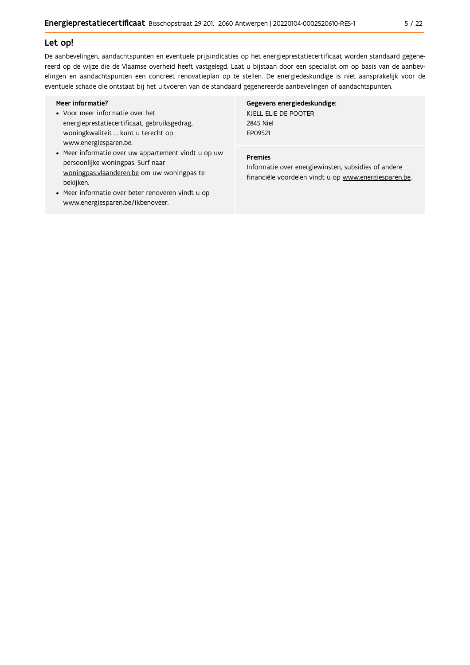#### Let op!

De aanbevelingen, aandachtspunten en eventuele prijsindicaties op het energieprestatiecertificaat worden standaard gegenereerd op de wijze die de Vlaamse overheid heeft vastgelegd. Laat u bijstaan door een specialist om op basis van de aanbevelingen en aandachtspunten een concreet renovatieplan op te stellen. De energiedeskundige is niet aansprakelijk voor de eventuele schade die ontstaat bij het uitvoeren van de standaard gegenereerde aanbevelingen of aandachtspunten.

#### Meer informatie?

- Voor meer informatie over het energieprestatiecertificaat, gebruiksgedrag, woningkwaliteit ... kunt u terecht op www.energiesparen.be.
- Meer informatie over uw appartement vindt u op uw persoonlijke woningpas. Surf naar woningpas.vlaanderen.be om uw woningpas te bekijken.
- Meer informatie over beter renoveren vindt u op www.energiesparen.be/ikbenoveer.

### Gegevens energiedeskundige:

KJELL ELIE DE POOTER 2845 Niel EP09521

#### Premies

Informatie over energiewinsten, subsidies of andere financiële voordelen vindt u op www.energiesparen.be.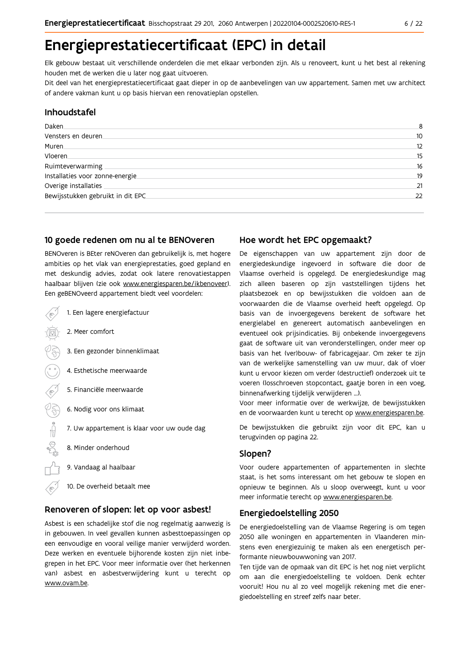# Energieprestatiecertificaat (EPC) in detail

Elk gebouw bestaat uit verschillende onderdelen die met elkaar verbonden zijn. Als u renoveert, kunt u het best al rekening houden met de werken die u later nog gaat uitvoeren.

Dit deel van het energieprestatiecertificaat gaat dieper in op de aanbevelingen van uw appartement. Samen met uw architect of andere vakman kunt u op basis hiervan een renovatieplan opstellen.

### Inhoudstafel

| Daken.                             | 8  |
|------------------------------------|----|
| Vensters en deuren                 | 10 |
| Muren.                             | 12 |
| Vloeren                            | 15 |
| Ruimteverwarming                   | 16 |
| Installaties voor zonne-energie.   | 19 |
| Overige installaties               | 21 |
| Bewijsstukken gebruikt in dit EPC. | 22 |
|                                    |    |

### 10 goede redenen om nu al te BENOveren

BENOveren is BEter reNOveren dan gebruikelijk is, met hogere ambities op het vlak van energieprestaties, goed gepland en met deskundig advies, zodat ook latere renovatiestappen haalbaar blijven (zie ook www.energiesparen.be/ikbenoveer). Een geBENOveerd appartement biedt veel voordelen:

|   | 1. Een lagere energiefactuur                |
|---|---------------------------------------------|
|   | 2. Meer comfort                             |
|   | 3. Een gezonder binnenklimaat               |
|   | 4. Esthetische meerwaarde                   |
| π | 5. Financiële meerwaarde                    |
|   | 6. Nodig voor ons klimaat                   |
|   | 7. Uw appartement is klaar voor uw oude dag |
|   | 8. Minder onderhoud                         |
|   | 9. Vandaag al haalbaar                      |
|   | 10. De overheid betaalt mee                 |

### Renoveren of slopen: let op voor asbest!

Asbest is een schadelijke stof die nog regelmatig aanwezig is in gebouwen. In veel gevallen kunnen asbesttoepassingen op een eenvoudige en vooral veilige manier verwijderd worden. Deze werken en eventuele bijhorende kosten zijn niet inbegrepen in het EPC. Voor meer informatie over (het herkennen van) asbest en asbestverwijdering kunt u terecht op www.ovam.be.

### Hoe wordt het EPC opgemaakt?

De eigenschappen van uw appartement zijn door de energiedeskundige ingevoerd in software die door de Vlaamse overheid is opgelegd. De energiedeskundige mag zich alleen baseren op zijn vaststellingen tijdens het plaatsbezoek en op bewijsstukken die voldoen aan de voorwaarden die de Vlaamse overheid heeft opgelegd. Op basis van de invoergegevens berekent de software het energielabel en genereert automatisch aanbevelingen en eventueel ook prijsindicaties. Bij onbekende invoergegevens gaat de software uit van veronderstellingen, onder meer op basis van het (ver)bouw- of fabricagejaar. Om zeker te zijn van de werkelijke samenstelling van uw muur, dak of vloer kunt u ervoor kiezen om verder (destructief) onderzoek uit te voeren (losschroeven stopcontact, gaatje boren in een voeg, binnenafwerking tijdelijk verwijderen ...).

Voor meer informatie over de werkwijze, de bewijsstukken en de voorwaarden kunt u terecht op www.energiesparen.be.

De bewijsstukken die gebruikt zijn voor dit EPC, kan u terugvinden op pagina 22.

### Slopen?

Voor oudere appartementen of appartementen in slechte staat, is het soms interessant om het gebouw te slopen en opnieuw te beginnen. Als u sloop overweegt, kunt u voor meer informatie terecht op www.energiesparen.be.

### **Energiedoelstelling 2050**

De energiedoelstelling van de Vlaamse Regering is om tegen 2050 alle woningen en appartementen in Vlaanderen minstens even energiezuinig te maken als een energetisch performante nieuwbouwwoning van 2017.

Ten tijde van de opmaak van dit EPC is het nog niet verplicht om aan die energiedoelstelling te voldoen. Denk echter vooruit! Hou nu al zo veel mogelijk rekening met die energiedoelstelling en streef zelfs naar beter.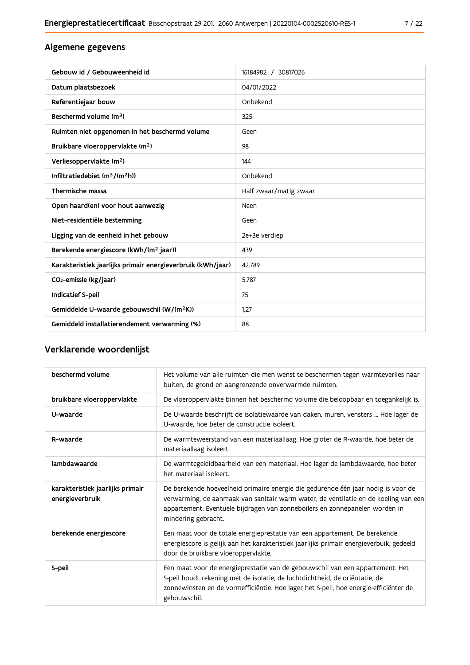# Algemene gegevens

| Gebouw id / Gebouweenheid id                                | 16184982 / 30817026    |
|-------------------------------------------------------------|------------------------|
| Datum plaatsbezoek                                          | 04/01/2022             |
| Referentiejaar bouw                                         | Onbekend               |
| Beschermd volume (m <sup>3</sup> )                          | 325                    |
| Ruimten niet opgenomen in het beschermd volume              | Geen                   |
| Bruikbare vloeroppervlakte (m <sup>2</sup> )                | 98                     |
| Verliesoppervlakte (m <sup>2</sup> )                        | 144                    |
| Infiltratiedebiet $(m^3/(m^2h))$                            | Onbekend               |
| Thermische massa                                            | Half zwaar/matig zwaar |
| Open haard(en) voor hout aanwezig                           | Neen                   |
| Niet-residentiële bestemming                                | Geen                   |
| Ligging van de eenheid in het gebouw                        | 2e+3e verdiep          |
| Berekende energiescore (kWh/(m <sup>2</sup> jaar))          | 439                    |
| Karakteristiek jaarlijks primair energieverbruik (kWh/jaar) | 42.789                 |
| CO <sub>2</sub> -emissie (kg/jaar)                          | 5.787                  |
| Indicatief S-peil                                           | 75                     |
| Gemiddelde U-waarde gebouwschil (W/(m <sup>2</sup> K))      | 1,27                   |
| Gemiddeld installatierendement verwarming (%)               | 88                     |

# Verklarende woordenlijst

| beschermd volume                                    | Het volume van alle ruimten die men wenst te beschermen tegen warmteverlies naar<br>buiten, de grond en aangrenzende onverwarmde ruimten.                                                                                                                                      |
|-----------------------------------------------------|--------------------------------------------------------------------------------------------------------------------------------------------------------------------------------------------------------------------------------------------------------------------------------|
| bruikbare vloeroppervlakte                          | De vloeroppervlakte binnen het beschermd volume die beloopbaar en toegankelijk is.                                                                                                                                                                                             |
| U-waarde                                            | De U-waarde beschrijft de isolatiewaarde van daken, muren, vensters  Hoe lager de<br>U-waarde, hoe beter de constructie isoleert.                                                                                                                                              |
| R-waarde                                            | De warmteweerstand van een materiaallaag. Hoe groter de R-waarde, hoe beter de<br>materiaallaag isoleert.                                                                                                                                                                      |
| lambdawaarde                                        | De warmtegeleidbaarheid van een materiaal. Hoe lager de lambdawaarde, hoe beter<br>het materiaal isoleert.                                                                                                                                                                     |
| karakteristiek jaarlijks primair<br>energieverbruik | De berekende hoeveelheid primaire energie die gedurende één jaar nodig is voor de<br>verwarming, de aanmaak van sanitair warm water, de ventilatie en de koeling van een<br>appartement. Eventuele bijdragen van zonneboilers en zonnepanelen worden in<br>mindering gebracht. |
| berekende energiescore                              | Een maat voor de totale energieprestatie van een appartement. De berekende<br>energiescore is gelijk aan het karakteristiek jaarlijks primair energieverbuik, gedeeld<br>door de bruikbare vloeroppervlakte.                                                                   |
| S-peil                                              | Een maat voor de energieprestatie van de gebouwschil van een appartement. Het<br>S-peil houdt rekening met de isolatie, de luchtdichtheid, de oriëntatie, de<br>zonnewinsten en de vormefficiëntie. Hoe lager het S-peil, hoe energie-efficiënter de<br>gebouwschil.           |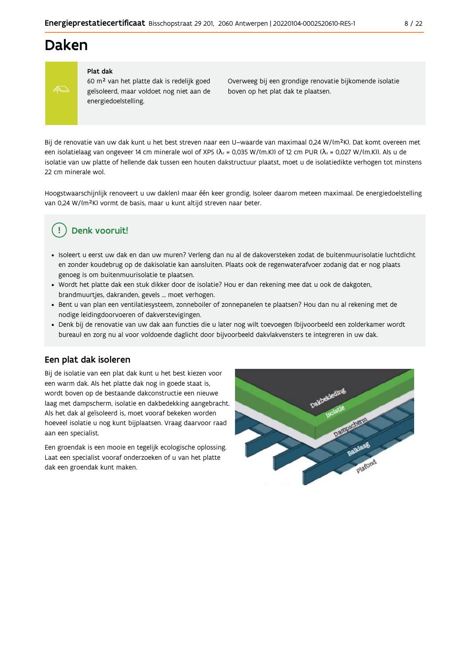# **Daken**



#### Plat dak

60 m<sup>2</sup> van het platte dak is redelijk goed geïsoleerd, maar voldoet nog niet aan de energiedoelstelling.

Overweeg bij een grondige renovatie bijkomende isolatie boven op het plat dak te plaatsen.

Bij de renovatie van uw dak kunt u het best streven naar een U-waarde van maximaal 0,24 W/(m<sup>2</sup>K). Dat komt overeen met een isolatielaag van ongeveer 14 cm minerale wol of XPS ( $\lambda_a$  = 0,035 W/(m.K)) of 12 cm PUR ( $\lambda_a$  = 0,027 W/(m.K)). Als u de isolatie van uw platte of hellende dak tussen een houten dakstructuur plaatst, moet u de isolatiedikte verhogen tot minstens 22 cm minerale wol

Hoogstwaarschijnlijk renoveert u uw dak(en) maar één keer grondig. Isoleer daarom meteen maximaal. De energiedoelstelling van 0,24 W/(m<sup>2</sup>K) vormt de basis, maar u kunt altijd streven naar beter.

# Denk vooruit!

- · Isoleert u eerst uw dak en dan uw muren? Verleng dan nu al de dakoversteken zodat de buitenmuurisolatie luchtdicht en zonder koudebrug op de dakisolatie kan aansluiten. Plaats ook de regenwaterafvoer zodanig dat er nog plaats genoeg is om buitenmuurisolatie te plaatsen.
- · Wordt het platte dak een stuk dikker door de isolatie? Hou er dan rekening mee dat u ook de dakgoten, brandmuurtjes, dakranden, gevels ... moet verhogen.
- · Bent u van plan een ventilatiesysteem, zonneboiler of zonnepanelen te plaatsen? Hou dan nu al rekening met de nodige leidingdoorvoeren of dakverstevigingen.
- · Denk bij de renovatie van uw dak aan functies die u later nog wilt toevoegen (bijvoorbeeld een zolderkamer wordt bureau) en zorg nu al voor voldoende daglicht door bijvoorbeeld dakvlakvensters te integreren in uw dak.

### Een plat dak isoleren

Bij de isolatie van een plat dak kunt u het best kiezen voor een warm dak. Als het platte dak nog in goede staat is, wordt boven op de bestaande dakconstructie een nieuwe laag met dampscherm, isolatie en dakbedekking aangebracht. Als het dak al geïsoleerd is, moet vooraf bekeken worden hoeveel isolatie u nog kunt bijplaatsen. Vraag daarvoor raad aan een specialist.

Een groendak is een mooie en tegelijk ecologische oplossing. Laat een specialist vooraf onderzoeken of u van het platte dak een groendak kunt maken.

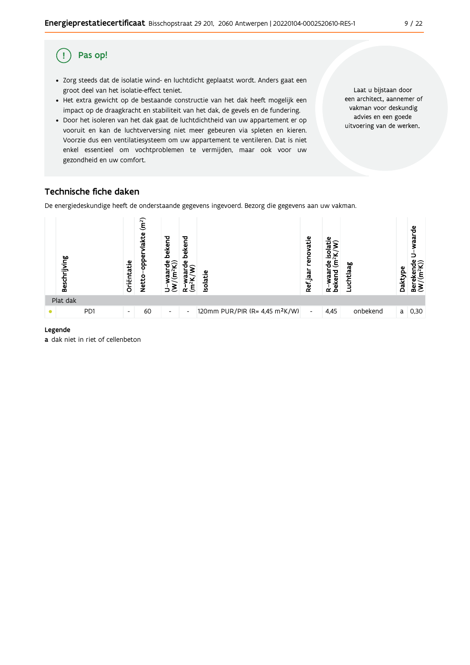#### Pas op! (!

- · Zorg steeds dat de isolatie wind- en luchtdicht geplaatst wordt. Anders gaat een groot deel van het isolatie-effect teniet.
- Het extra gewicht op de bestaande constructie van het dak heeft mogelijk een impact op de draagkracht en stabiliteit van het dak, de gevels en de fundering.
- · Door het isoleren van het dak gaat de luchtdichtheid van uw appartement er op vooruit en kan de luchtverversing niet meer gebeuren via spleten en kieren. Voorzie dus een ventilatiesysteem om uw appartement te ventileren. Dat is niet enkel essentieel om vochtproblemen te vermijden, maar ook voor uw gezondheid en uw comfort.

Laat u bijstaan door een architect, aannemer of vakman voor deskundig advies en een goede uitvoering van de werken.

# Technische fiche daken

De energiedeskundige heeft de onderstaande gegevens ingevoerd. Bezorg die gegevens aan uw vakman.



#### Legende

a dak niet in riet of cellenbeton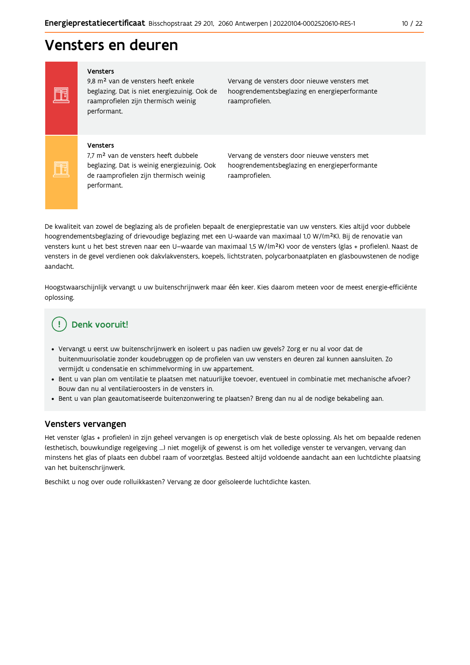# Vensters en deuren

#### Vensters

Ħ

Ħ

9,8 m<sup>2</sup> van de vensters heeft enkele beglazing. Dat is niet energiezuinig. Ook de raamprofielen zijn thermisch weinig performant.

Vervang de vensters door nieuwe vensters met hoogrendementsbeglazing en energieperformante raamprofielen.

#### Vensters

7,7 m<sup>2</sup> van de vensters heeft dubbele beglazing. Dat is weinig energiezuinig. Ook de raamprofielen zijn thermisch weinig performant.

Vervang de vensters door nieuwe vensters met hoogrendementsbeglazing en energieperformante raamprofielen.

De kwaliteit van zowel de beglazing als de profielen bepaalt de energieprestatie van uw vensters. Kies altijd voor dubbele hoogrendementsbeglazing of drievoudige beglazing met een U-waarde van maximaal 1,0 W/(m<sup>2</sup>K). Bij de renovatie van vensters kunt u het best streven naar een U-waarde van maximaal 1,5 W/(m<sup>2</sup>K) voor de vensters (glas + profielen). Naast de vensters in de gevel verdienen ook dakvlakvensters, koepels, lichtstraten, polycarbonaatplaten en glasbouwstenen de nodige aandacht.

Hoogstwaarschijnlijk vervangt u uw buitenschrijnwerk maar één keer. Kies daarom meteen voor de meest energie-efficiënte oplossing.

# Denk vooruit!

- · Vervangt u eerst uw buitenschrijnwerk en isoleert u pas nadien uw gevels? Zorg er nu al voor dat de buitenmuurisolatie zonder koudebruggen op de profielen van uw vensters en deuren zal kunnen aansluiten. Zo vermijdt u condensatie en schimmelvorming in uw appartement.
- Bent u van plan om ventilatie te plaatsen met natuurlijke toevoer, eventueel in combinatie met mechanische afvoer? Bouw dan nu al ventilatieroosters in de vensters in.
- · Bent u van plan geautomatiseerde buitenzonwering te plaatsen? Breng dan nu al de nodige bekabeling aan.

#### Vensters vervangen

Het venster (glas + profielen) in zijn geheel vervangen is op energetisch vlak de beste oplossing. Als het om bepaalde redenen (esthetisch, bouwkundige regelgeving ...) niet mogelijk of gewenst is om het volledige venster te vervangen, vervang dan minstens het glas of plaats een dubbel raam of voorzetglas. Besteed altijd voldoende aandacht aan een luchtdichte plaatsing van het buitenschrijnwerk.

Beschikt u nog over oude rolluikkasten? Vervang ze door geïsoleerde luchtdichte kasten.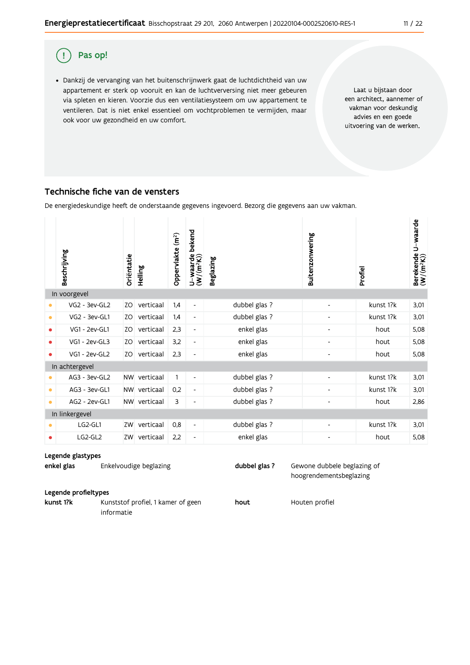#### Pas op! ( !

· Dankzij de vervanging van het buitenschrijnwerk gaat de luchtdichtheid van uw appartement er sterk op vooruit en kan de luchtverversing niet meer gebeuren via spleten en kieren. Voorzie dus een ventilatiesysteem om uw appartement te ventileren. Dat is niet enkel essentieel om vochtproblemen te vermijden, maar ook voor uw gezondheid en uw comfort.

Laat u bijstaan door een architect, aannemer of vakman voor deskundig advies en een goede uitvoering van de werken.

# Technische fiche van de vensters

De energiedeskundige heeft de onderstaande gegevens ingevoerd. Bezorg die gegevens aan uw vakman.

|           | Beschrijving   | Oriëntatie | Helling      | Oppervlakte (m <sup>2</sup> ) | bekend<br>$U$ –waarde<br>(W/(m <sup>2</sup> K)) | <b>Beglazing</b> | Buitenzonwering          | Profiel   | U waarde<br>Berekende<br>(W/(m <sup>2</sup> K)) |
|-----------|----------------|------------|--------------|-------------------------------|-------------------------------------------------|------------------|--------------------------|-----------|-------------------------------------------------|
|           | In voorgevel   |            |              |                               |                                                 |                  |                          |           |                                                 |
| ٠         | VG2 - 3ev-GL2  | ZO         | verticaal    | 1,4                           | $\overline{\phantom{a}}$                        | dubbel glas ?    |                          | kunst 1?k | 3,01                                            |
| $\bullet$ | VG2 - 3ev-GL1  | ZO         | verticaal    | 1,4                           | $\overline{\phantom{a}}$                        | dubbel glas ?    |                          | kunst 1?k | 3,01                                            |
| ٠         | VG1 - 2ev-GL1  | ZO         | verticaal    | 2,3                           | $\overline{\phantom{a}}$                        | enkel glas       | ٠                        | hout      | 5,08                                            |
| ٠         | VG1 - 2ev-GL3  | ZO         | verticaal    | 3,2                           | $\overline{\phantom{a}}$                        | enkel glas       |                          | hout      | 5,08                                            |
|           | VG1 - 2ev-GL2  | ZO         | verticaal    | 2,3                           | $\overline{\phantom{a}}$                        | enkel glas       | $\overline{a}$           | hout      | 5,08                                            |
|           | In achtergevel |            |              |                               |                                                 |                  |                          |           |                                                 |
|           | AG3 - 3ev-GL2  | <b>NW</b>  | verticaal    | 1                             | $\overline{\phantom{a}}$                        | dubbel glas ?    | $\overline{\phantom{a}}$ | kunst 1?k | 3,01                                            |
| ۰         | AG3 - 3ev-GL1  | <b>NW</b>  | verticaal    | 0,2                           | $\overline{\phantom{a}}$                        | dubbel glas ?    | ٠                        | kunst 1?k | 3,01                                            |
| $\bullet$ | AG2 - 2ev-GL1  |            | NW verticaal | 3                             | $\overline{\phantom{a}}$                        | dubbel glas ?    | $\overline{\phantom{a}}$ | hout      | 2,86                                            |
|           | In linkergevel |            |              |                               |                                                 |                  |                          |           |                                                 |
|           | LG2-GL1        | ZW         | verticaal    | 0,8                           | $\overline{\phantom{a}}$                        | dubbel glas ?    | ٠                        | kunst 1?k | 3,01                                            |
|           | LG2-GL2        | ZW         | verticaal    | 2,2                           | $\overline{\phantom{a}}$                        | enkel glas       | -                        | hout      | 5,08                                            |

#### Legende glastypes

enkel glas Enkelvoudige beglazing dubbel glas ?

#### Legende profieltypes

kunst 1?k

Kunststof profiel, 1 kamer of geen informatie

hout

Houten profiel

Gewone dubbele beglazing of hoogrendementsbeglazing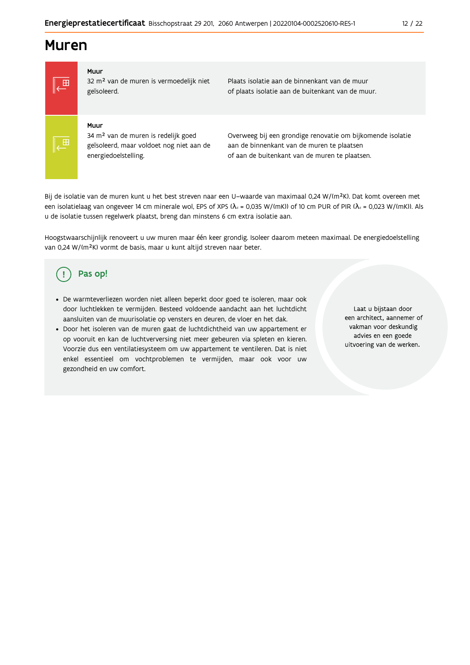# **Muren**



#### Muur

32 m<sup>2</sup> van de muren is vermoedelijk niet geïsoleerd.

Plaats isolatie aan de binnenkant van de muur of plaats isolatie aan de buitenkant van de muur.

#### Muur

34 m<sup>2</sup> van de muren is redelijk goed geïsoleerd, maar voldoet nog niet aan de energiedoelstelling.

Overweeg bij een grondige renovatie om bijkomende isolatie aan de binnenkant van de muren te plaatsen of aan de buitenkant van de muren te plaatsen.

Bij de isolatie van de muren kunt u het best streven naar een U-waarde van maximaal 0,24 W/(m<sup>2</sup>K). Dat komt overeen met een isolatielaag van ongeveer 14 cm minerale wol, EPS of XPS ( $\lambda_a$  = 0,035 W/(mK)) of 10 cm PUR of PIR ( $\lambda_a$  = 0,023 W/(mK)). Als u de isolatie tussen regelwerk plaatst, breng dan minstens 6 cm extra isolatie aan.

Hoogstwaarschijnlijk renoveert u uw muren maar één keer grondig. Isoleer daarom meteen maximaal. De energiedoelstelling van 0,24 W/(m<sup>2</sup>K) vormt de basis, maar u kunt altijd streven naar beter.

#### Pas op! Ţ

- De warmteverliezen worden niet alleen beperkt door goed te isoleren, maar ook door luchtlekken te vermijden. Besteed voldoende aandacht aan het luchtdicht aansluiten van de muurisolatie op vensters en deuren, de vloer en het dak.
- · Door het isoleren van de muren gaat de luchtdichtheid van uw appartement er op vooruit en kan de luchtverversing niet meer gebeuren via spleten en kieren. Voorzie dus een ventilatiesysteem om uw appartement te ventileren. Dat is niet enkel essentieel om vochtproblemen te vermijden, maar ook voor uw gezondheid en uw comfort.

Laat u bijstaan door een architect, aannemer of vakman voor deskundig advies en een goede uitvoering van de werken.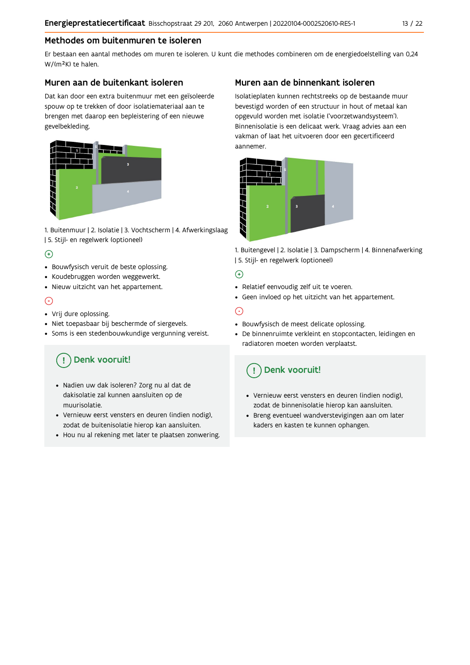## Methodes om buitenmuren te isoleren

Er bestaan een aantal methodes om muren te isoleren. U kunt die methodes combineren om de energiedoelstelling van 0,24 W/(m<sup>2</sup>K) te halen.

### Muren aan de buitenkant isoleren

Dat kan door een extra buitenmuur met een geïsoleerde spouw op te trekken of door isolatiemateriaal aan te brengen met daarop een bepleistering of een nieuwe gevelbekleding.



1. Buitenmuur | 2. Isolatie | 3. Vochtscherm | 4. Afwerkingslaag | 5. Stijl- en regelwerk (optioneel)

## $\bigoplus$

- Bouwfysisch veruit de beste oplossing.
- Koudebruggen worden weggewerkt.
- · Nieuw uitzicht van het appartement.

## $\odot$

- Vrij dure oplossing.
- · Niet toepasbaar bij beschermde of siergevels.
- Soms is een stedenbouwkundige vergunning vereist.

# Denk vooruit!

- · Nadien uw dak isoleren? Zorg nu al dat de dakisolatie zal kunnen aansluiten op de muurisolatie.
- · Vernieuw eerst vensters en deuren (indien nodig), zodat de buitenisolatie hierop kan aansluiten.
- Hou nu al rekening met later te plaatsen zonwering.

## Muren aan de binnenkant isoleren

Isolatieplaten kunnen rechtstreeks op de bestaande muur bevestigd worden of een structuur in hout of metaal kan opgevuld worden met isolatie ('voorzetwandsysteem'). Binnenisolatie is een delicaat werk. Vraag advies aan een vakman of laat het uitvoeren door een gecertificeerd aannemer



1. Buitengevel | 2. Isolatie | 3. Dampscherm | 4. Binnenafwerking | 5. Stijl- en regelwerk (optioneel)

### $\bigoplus$

- Relatief eenvoudig zelf uit te voeren.
- Geen invloed op het uitzicht van het appartement.

# ⊝

- Bouwfysisch de meest delicate oplossing.
- · De binnenruimte verkleint en stopcontacten, leidingen en radiatoren moeten worden verplaatst.

# Denk vooruit!

- Vernieuw eerst vensters en deuren (indien nodig), zodat de binnenisolatie hierop kan aansluiten.
- · Breng eventueel wandverstevigingen aan om later kaders en kasten te kunnen ophangen.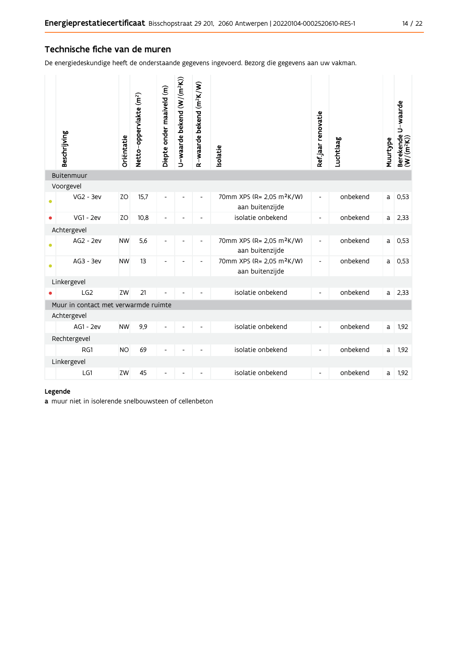### Technische fiche van de muren

De energiedeskundige heeft de onderstaande gegevens ingevoerd. Bezorg die gegevens aan uw vakman.

|           | Beschrijving                         | Oriëntatie | Netto-oppervlakte (m <sup>2</sup> ) | Diepte onder maaiveld (m)    | U-waarde bekend (W/(m <sup>2</sup> K)) | R-waarde bekend (m <sup>2</sup> K/W) | solatie                                                  | Refjaar renovatie            | Luchtlaag | Muurtype | Berekende U-waarde<br>(W/(m <sup>2</sup> K)) |
|-----------|--------------------------------------|------------|-------------------------------------|------------------------------|----------------------------------------|--------------------------------------|----------------------------------------------------------|------------------------------|-----------|----------|----------------------------------------------|
|           | Buitenmuur                           |            |                                     |                              |                                        |                                      |                                                          |                              |           |          |                                              |
|           | Voorgevel<br>$VG2 - 3ev$             | ZO         | 15,7                                | $\overline{\phantom{a}}$     | $\overline{a}$                         | $\overline{\phantom{0}}$             | 70mm XPS (R= 2,05 m <sup>2</sup> K/W)<br>aan buitenzijde | $\overline{\phantom{a}}$     | onbekend  | a        | 0,53                                         |
| $\bullet$ | $VG1 - 2ev$                          | ZO         | 10,8                                | $\qquad \qquad \blacksquare$ | $\overline{a}$                         | $\overline{\phantom{0}}$             | isolatie onbekend                                        | $\overline{\phantom{a}}$     | onbekend  | a        | 2,33                                         |
|           | Achtergevel                          |            |                                     |                              |                                        |                                      |                                                          |                              |           |          |                                              |
| $\bullet$ | AG2 - 2ev                            | <b>NW</b>  | 5,6                                 | ٠                            | L,                                     | $\overline{\phantom{0}}$             | 70mm XPS (R= 2,05 m <sup>2</sup> K/W)<br>aan buitenzijde | $\blacksquare$               | onbekend  | a        | 0,53                                         |
| $\bullet$ | AG3 - 3ev                            | <b>NW</b>  | 13                                  | ٠                            |                                        | ٠                                    | 70mm XPS (R= 2,05 m <sup>2</sup> K/W)<br>aan buitenzijde | $\overline{\phantom{a}}$     | onbekend  | a        | 0,53                                         |
|           | Linkergevel                          |            |                                     |                              |                                        |                                      |                                                          |                              |           |          |                                              |
|           | LG2                                  | ZW         | 21                                  |                              |                                        |                                      | isolatie onbekend                                        | $\overline{\phantom{a}}$     | onbekend  | a l      | 2,33                                         |
|           | Muur in contact met verwarmde ruimte |            |                                     |                              |                                        |                                      |                                                          |                              |           |          |                                              |
|           | Achtergevel                          |            |                                     |                              |                                        |                                      |                                                          |                              |           |          |                                              |
|           | AG1 - 2ev                            | <b>NW</b>  | 9,9                                 |                              |                                        |                                      | isolatie onbekend                                        | $\overline{\phantom{0}}$     | onbekend  | a        | 1,92                                         |
|           | Rechtergevel<br>RG1                  | <b>NO</b>  | 69                                  | Ĭ.                           |                                        |                                      | isolatie onbekend                                        | $\overline{\phantom{a}}$     | onbekend  | a        | 1,92                                         |
|           | Linkergevel                          |            |                                     |                              |                                        |                                      |                                                          |                              |           |          |                                              |
|           | LG1                                  | ZW         | 45                                  |                              |                                        |                                      | isolatie onbekend                                        | $\qquad \qquad \blacksquare$ | onbekend  | a        | 1,92                                         |
|           |                                      |            |                                     |                              |                                        |                                      |                                                          |                              |           |          |                                              |

#### Legende

a muur niet in isolerende snelbouwsteen of cellenbeton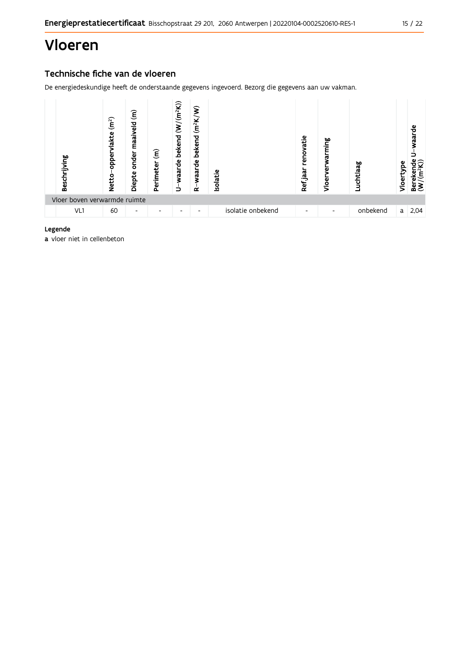# Vloeren

# Technische fiche van de vloeren

De energiedeskundige heeft de onderstaande gegevens ingevoerd. Bezorg die gegevens aan uw vakman.



#### Legende

a vloer niet in cellenbeton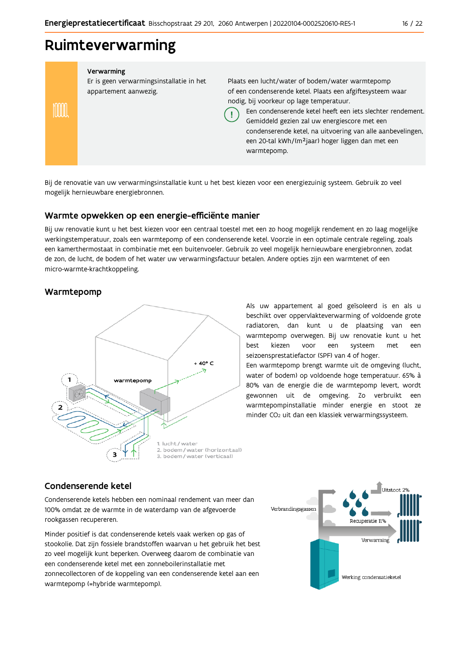# Ruimteverwarming

Verwarming Er is geen verwarmingsinstallatie in het Plaats een lucht/water of bodem/water warmtepomp appartement aanwezig. of een condenserende ketel. Plaats een afgiftesysteem waar nodig, bij voorkeur op lage temperatuur. mm Een condenserende ketel heeft een iets slechter rendement. Ţ Gemiddeld gezien zal uw energiescore met een condenserende ketel, na uitvoering van alle aanbevelingen, een 20-tal kWh/(m<sup>2</sup>jaar) hoger liggen dan met een warmtepomp.

Bij de renovatie van uw verwarmingsinstallatie kunt u het best kiezen voor een energiezuinig systeem. Gebruik zo veel mogelijk hernieuwbare energiebronnen.

### Warmte opwekken op een energie-efficiënte manier

Bij uw renovatie kunt u het best kiezen voor een centraal toestel met een zo hoog mogelijk rendement en zo laag mogelijke werkingstemperatuur, zoals een warmtepomp of een condenserende ketel. Voorzie in een optimale centrale regeling, zoals een kamerthermostaat in combinatie met een buitenvoeler. Gebruik zo veel mogelijk hernieuwbare energiebronnen, zodat de zon, de lucht, de bodem of het water uw verwarmingsfactuur betalen. Andere opties zijn een warmtenet of een micro-warmte-krachtkoppeling.

### Warmtepomp



Als uw appartement al goed geïsoleerd is en als u beschikt over oppervlakteverwarming of voldoende grote radiatoren, dan kunt u de plaatsing van een warmtepomp overwegen. Bij uw renovatie kunt u het hest kiezen voor een systeem met een seizoensprestatiefactor (SPF) van 4 of hoger.

Een warmtepomp brengt warmte uit de omgeving (lucht, water of bodem) op voldoende hoge temperatuur. 65% à 80% van de energie die de warmtepomp levert, wordt gewonnen uit de omgeving. Zo verbruikt een warmtepompinstallatie minder energie en stoot ze minder CO<sub>2</sub> uit dan een klassiek verwarmingssysteem.

### Condenserende ketel

Condenserende ketels hebben een nominaal rendement van meer dan 100% omdat ze de warmte in de waterdamp van de afgevoerde rookgassen recupereren.

Minder positief is dat condenserende ketels vaak werken op gas of stookolie. Dat zijn fossiele brandstoffen waarvan u het gebruik het best zo veel mogelijk kunt beperken. Overweeg daarom de combinatie van een condenserende ketel met een zonneboilerinstallatie met zonnecollectoren of de koppeling van een condenserende ketel aan een warmtepomp (=hybride warmtepomp).

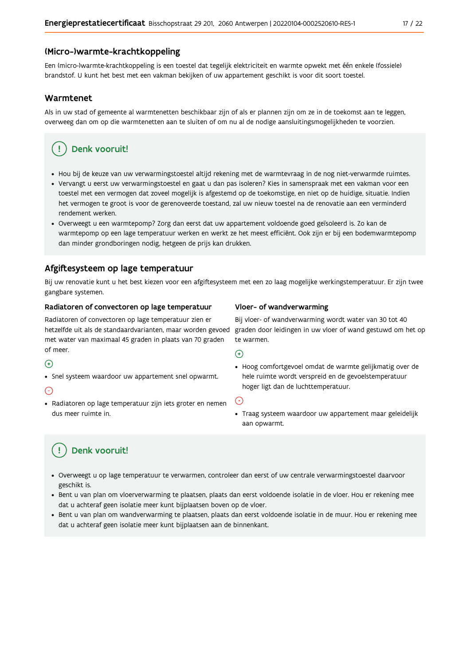#### (Micro-)warmte-krachtkoppeling

Een (micro-)warmte-krachtkoppeling is een toestel dat tegelijk elektriciteit en warmte opwekt met één enkele (fossiele) brandstof. U kunt het best met een vakman bekijken of uw appartement geschikt is voor dit soort toestel.

#### Warmtenet

Als in uw stad of gemeente al warmtenetten beschikbaar zijn of als er plannen zijn om ze in de toekomst aan te leggen, overweeg dan om op die warmtenetten aan te sluiten of om nu al de nodige aansluitingsmogelijkheden te voorzien.

# Denk vooruit!

- · Hou bij de keuze van uw verwarmingstoestel altijd rekening met de warmtevraag in de nog niet-verwarmde ruimtes.
- Vervangt u eerst uw verwarmingstoestel en gaat u dan pas isoleren? Kies in samenspraak met een vakman voor een toestel met een vermogen dat zoveel mogelijk is afgestemd op de toekomstige, en niet op de huidige, situatie. Indien het vermogen te groot is voor de gerenoveerde toestand, zal uw nieuw toestel na de renovatie aan een verminderd rendement werken.
- · Overweegt u een warmtepomp? Zorg dan eerst dat uw appartement voldoende goed geïsoleerd is. Zo kan de warmtepomp op een lage temperatuur werken en werkt ze het meest efficiënt. Ook zijn er bij een bodemwarmtepomp dan minder grondboringen nodig, hetgeen de prijs kan drukken.

### Afgiftesysteem op lage temperatuur

Bij uw renovatie kunt u het best kiezen voor een afgiftesysteem met een zo laag mogelijke werkingstemperatuur. Er zijn twee gangbare systemen.

#### Radiatoren of convectoren op lage temperatuur

Radiatoren of convectoren op lage temperatuur zien er hetzelfde uit als de standaardvarianten, maar worden gevoed met water van maximaal 45 graden in plaats van 70 graden of meer.

#### $\bigoplus$

• Snel systeem waardoor uw appartement snel opwarmt.

#### $\bigodot$

· Radiatoren op lage temperatuur zijn iets groter en nemen dus meer ruimte in.

#### Vloer- of wandverwarming

Bij vloer- of wandverwarming wordt water van 30 tot 40 graden door leidingen in uw vloer of wand gestuwd om het op te warmen.

#### $\bigoplus$

· Hoog comfortgevoel omdat de warmte gelijkmatig over de hele ruimte wordt verspreid en de gevoelstemperatuur hoger ligt dan de luchttemperatuur.

#### ∈

· Traag systeem waardoor uw appartement maar geleidelijk aan opwarmt.

# Denk vooruit!

- · Overweegt u op lage temperatuur te verwarmen, controleer dan eerst of uw centrale verwarmingstoestel daarvoor geschikt is.
- · Bent u van plan om vloerverwarming te plaatsen, plaats dan eerst voldoende isolatie in de vloer. Hou er rekening mee dat u achteraf geen isolatie meer kunt bijplaatsen boven op de vloer.
- · Bent u van plan om wandverwarming te plaatsen, plaats dan eerst voldoende isolatie in de muur. Hou er rekening mee dat u achteraf geen isolatie meer kunt bijplaatsen aan de binnenkant.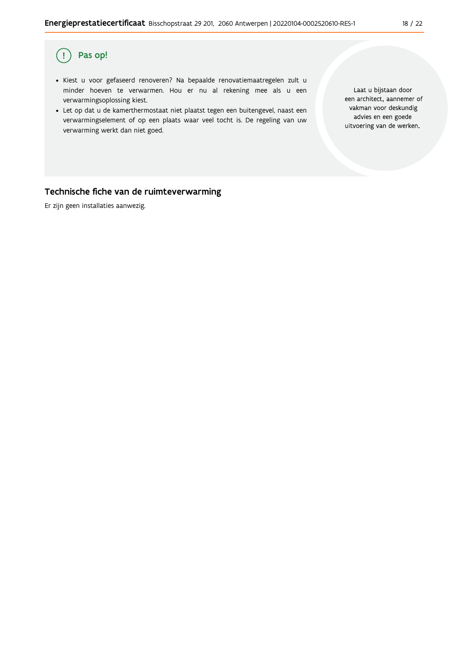#### Pas op!  $\left(\cdot\right)$

- · Kiest u voor gefaseerd renoveren? Na bepaalde renovatiemaatregelen zult u minder hoeven te verwarmen. Hou er nu al rekening mee als u een verwarmingsoplossing kiest.
- . Let op dat u de kamerthermostaat niet plaatst tegen een buitengevel, naast een verwarmingselement of op een plaats waar veel tocht is. De regeling van uw verwarming werkt dan niet goed.

Laat u bijstaan door een architect, aannemer of vakman voor deskundig advies en een goede uitvoering van de werken.

### Technische fiche van de ruimteverwarming

Er zijn geen installaties aanwezig.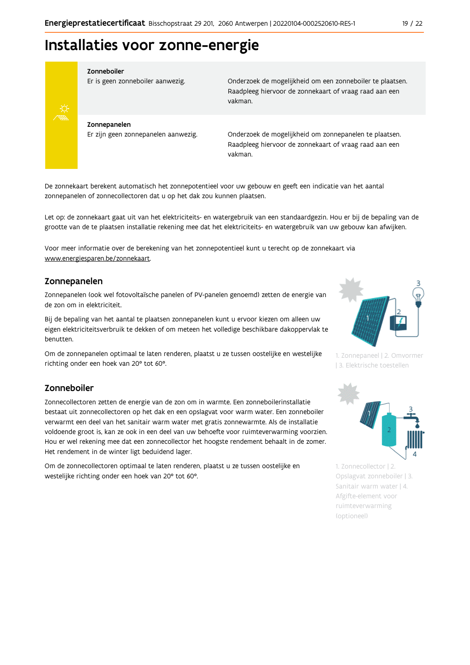# Installaties voor zonne-energie



#### Zonneboiler

Er is geen zonneboiler aanwezig.

Onderzoek de mogelijkheid om een zonneboiler te plaatsen. Raadpleeg hiervoor de zonnekaart of vraag raad aan een vakman.

Zonnepanelen Er zijn geen zonnepanelen aanwezig.

Onderzoek de mogelijkheid om zonnepanelen te plaatsen. Raadpleeg hiervoor de zonnekaart of vraag raad aan een vakman.

De zonnekaart berekent automatisch het zonnepotentieel voor uw gebouw en geeft een indicatie van het aantal zonnepanelen of zonnecollectoren dat u op het dak zou kunnen plaatsen.

Let op: de zonnekaart gaat uit van het elektriciteits- en watergebruik van een standaardgezin. Hou er bij de bepaling van de grootte van de te plaatsen installatie rekening mee dat het elektriciteits- en watergebruik van uw gebouw kan afwijken.

Voor meer informatie over de berekening van het zonnepotentieel kunt u terecht op de zonnekaart via www.energiesparen.be/zonnekaart.

### Zonnepanelen

Zonnepanelen (ook wel fotovoltaïsche panelen of PV-panelen genoemd) zetten de energie van de zon om in elektriciteit.

Bij de bepaling van het aantal te plaatsen zonnepanelen kunt u ervoor kiezen om alleen uw eigen elektriciteitsverbruik te dekken of om meteen het volledige beschikbare dakoppervlak te benutten.

Om de zonnepanelen optimaal te laten renderen, plaatst u ze tussen oostelijke en westelijke richting onder een hoek van 20° tot 60°.

### Zonneboiler

Zonnecollectoren zetten de energie van de zon om in warmte. Een zonneboilerinstallatie bestaat uit zonnecollectoren op het dak en een opslagvat voor warm water. Een zonneboiler verwarmt een deel van het sanitair warm water met gratis zonnewarmte. Als de installatie voldoende groot is, kan ze ook in een deel van uw behoefte voor ruimteverwarming voorzien. Hou er wel rekening mee dat een zonnecollector het hoogste rendement behaalt in de zomer. Het rendement in de winter ligt beduidend lager.

Om de zonnecollectoren optimaal te laten renderen, plaatst u ze tussen oostelijke en westelijke richting onder een hoek van 20° tot 60°.



1. Zonnepaneel | 2. Omvormer | 3. Elektrische toestellen



1. Zonnecollector | 2. Opslagvat zonneboiler | 3. Sanitair warm water | 4. Afgifte-element voor ruimteverwarming (optioneel)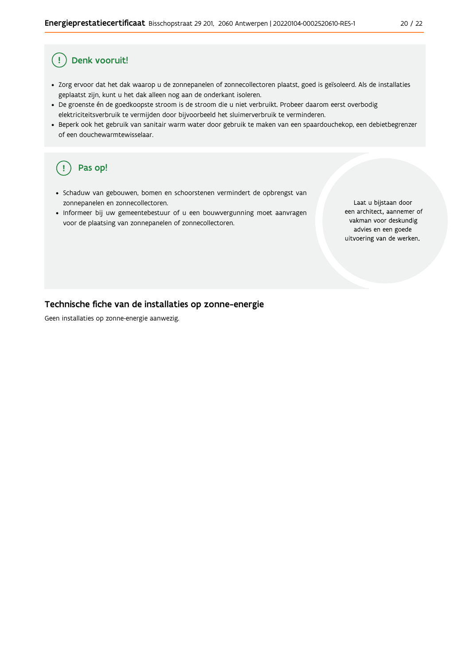#### Ţ Denk vooruit!

- · Zorg ervoor dat het dak waarop u de zonnepanelen of zonnecollectoren plaatst, goed is geïsoleerd. Als de installaties geplaatst zijn, kunt u het dak alleen nog aan de onderkant isoleren.
- · De groenste én de goedkoopste stroom is de stroom die u niet verbruikt. Probeer daarom eerst overbodig elektriciteitsverbruik te vermijden door bijvoorbeeld het sluimerverbruik te verminderen.
- · Beperk ook het gebruik van sanitair warm water door gebruik te maken van een spaardouchekop, een debietbegrenzer of een douchewarmtewisselaar.

#### Pas op! ( !

- · Schaduw van gebouwen, bomen en schoorstenen vermindert de opbrengst van zonnepanelen en zonnecollectoren.
- Informeer bij uw gemeentebestuur of u een bouwvergunning moet aanvragen voor de plaatsing van zonnepanelen of zonnecollectoren.

Laat u bijstaan door een architect, aannemer of vakman voor deskundig advies en een goede uitvoering van de werken.

### Technische fiche van de installaties op zonne-energie

Geen installaties op zonne-energie aanwezig.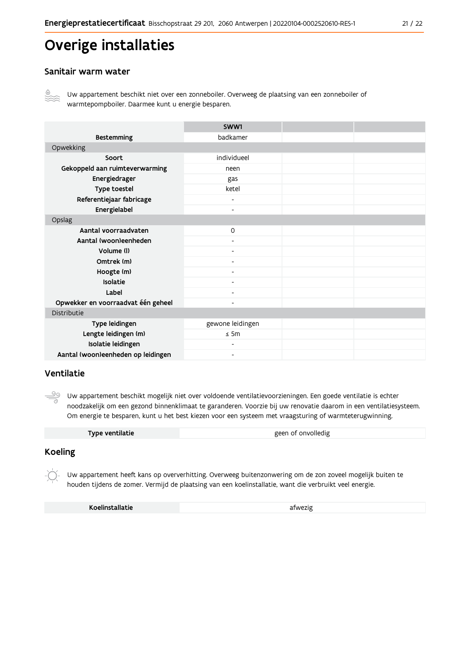# Overige installaties

### Sanitair warm water



Uw appartement beschikt niet over een zonneboiler. Overweeg de plaatsing van een zonneboiler of warmtepompboiler. Daarmee kunt u energie besparen.

|                                    | SWW1                     |  |
|------------------------------------|--------------------------|--|
| <b>Bestemming</b>                  | badkamer                 |  |
| Opwekking                          |                          |  |
| Soort                              | individueel              |  |
| Gekoppeld aan ruimteverwarming     | neen                     |  |
| Energiedrager                      | gas                      |  |
| Type toestel                       | ketel                    |  |
| Referentiejaar fabricage           | $\overline{\phantom{a}}$ |  |
| Energielabel                       | $\blacksquare$           |  |
| Opslag                             |                          |  |
| Aantal voorraadvaten               | $\Omega$                 |  |
| Aantal (woon)eenheden              |                          |  |
| Volume (I)                         | $\overline{\phantom{a}}$ |  |
| Omtrek (m)                         |                          |  |
| Hoogte (m)                         |                          |  |
| Isolatie                           | $\overline{\phantom{a}}$ |  |
| Label                              | $\overline{\phantom{a}}$ |  |
| Opwekker en voorraadvat één geheel | $\overline{\phantom{a}}$ |  |
| Distributie                        |                          |  |
| Type leidingen                     | gewone leidingen         |  |
| Lengte leidingen (m)               | $\leq$ 5m                |  |
| Isolatie leidingen                 | $\overline{\phantom{a}}$ |  |
| Aantal (woon)eenheden op leidingen | $\overline{\phantom{a}}$ |  |

### Ventilatie

ூ Uw appartement beschikt mogelijk niet over voldoende ventilatievoorzieningen. Een goede ventilatie is echter noodzakelijk om een gezond binnenklimaat te garanderen. Voorzie bij uw renovatie daarom in een ventilatiesysteem. Om energie te besparen, kunt u het best kiezen voor een systeem met vraagsturing of warmteterugwinning.

| Type ventilatie | geen of onvolledig |
|-----------------|--------------------|

### **Koeling**

Uw appartement heeft kans op oververhitting. Overweeg buitenzonwering om de zon zoveel mogelijk buiten te houden tijdens de zomer. Vermijd de plaatsing van een koelinstallatie, want die verbruikt veel energie.

Koelinstallatie

afwezig